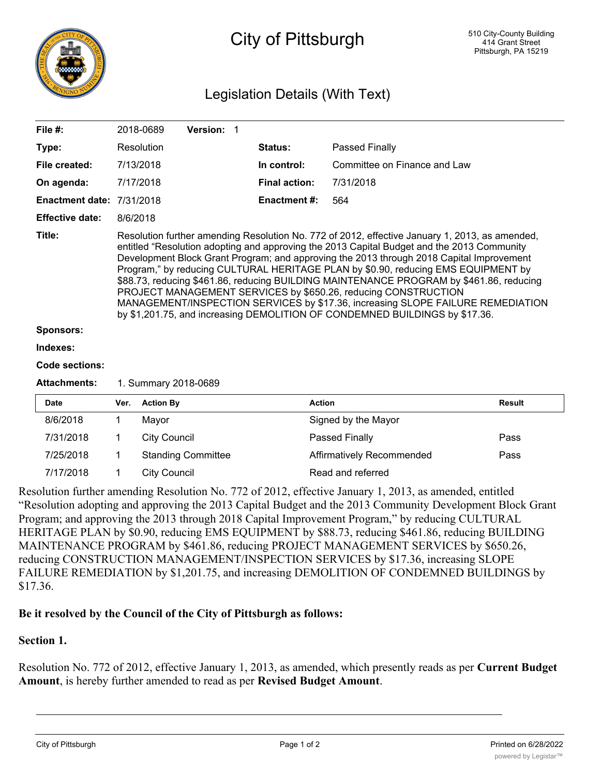

# City of Pittsburgh

# Legislation Details (With Text)

| File $#$ :                       |                                                                                                                                                                                                                                                                                                                                                                                                                                                                                                                                                                                                                                                                                                              | 2018-0689           | Version: 1                |  |                      |                              |        |  |  |  |
|----------------------------------|--------------------------------------------------------------------------------------------------------------------------------------------------------------------------------------------------------------------------------------------------------------------------------------------------------------------------------------------------------------------------------------------------------------------------------------------------------------------------------------------------------------------------------------------------------------------------------------------------------------------------------------------------------------------------------------------------------------|---------------------|---------------------------|--|----------------------|------------------------------|--------|--|--|--|
| Type:                            |                                                                                                                                                                                                                                                                                                                                                                                                                                                                                                                                                                                                                                                                                                              | Resolution          |                           |  | Status:              | Passed Finally               |        |  |  |  |
| File created:                    |                                                                                                                                                                                                                                                                                                                                                                                                                                                                                                                                                                                                                                                                                                              | 7/13/2018           |                           |  | In control:          | Committee on Finance and Law |        |  |  |  |
| On agenda:                       |                                                                                                                                                                                                                                                                                                                                                                                                                                                                                                                                                                                                                                                                                                              | 7/17/2018           |                           |  | <b>Final action:</b> | 7/31/2018                    |        |  |  |  |
| <b>Enactment date: 7/31/2018</b> |                                                                                                                                                                                                                                                                                                                                                                                                                                                                                                                                                                                                                                                                                                              |                     |                           |  | Enactment #:         | 564                          |        |  |  |  |
| <b>Effective date:</b>           | 8/6/2018                                                                                                                                                                                                                                                                                                                                                                                                                                                                                                                                                                                                                                                                                                     |                     |                           |  |                      |                              |        |  |  |  |
| Title:                           | Resolution further amending Resolution No. 772 of 2012, effective January 1, 2013, as amended,<br>entitled "Resolution adopting and approving the 2013 Capital Budget and the 2013 Community<br>Development Block Grant Program; and approving the 2013 through 2018 Capital Improvement<br>Program," by reducing CULTURAL HERITAGE PLAN by \$0.90, reducing EMS EQUIPMENT by<br>\$88.73, reducing \$461.86, reducing BUILDING MAINTENANCE PROGRAM by \$461.86, reducing<br>PROJECT MANAGEMENT SERVICES by \$650.26, reducing CONSTRUCTION<br>MANAGEMENT/INSPECTION SERVICES by \$17.36, increasing SLOPE FAILURE REMEDIATION<br>by \$1,201.75, and increasing DEMOLITION OF CONDEMNED BUILDINGS by \$17.36. |                     |                           |  |                      |                              |        |  |  |  |
| <b>Sponsors:</b>                 |                                                                                                                                                                                                                                                                                                                                                                                                                                                                                                                                                                                                                                                                                                              |                     |                           |  |                      |                              |        |  |  |  |
| Indexes:                         |                                                                                                                                                                                                                                                                                                                                                                                                                                                                                                                                                                                                                                                                                                              |                     |                           |  |                      |                              |        |  |  |  |
| Code sections:                   |                                                                                                                                                                                                                                                                                                                                                                                                                                                                                                                                                                                                                                                                                                              |                     |                           |  |                      |                              |        |  |  |  |
| <b>Attachments:</b>              | 1. Summary 2018-0689                                                                                                                                                                                                                                                                                                                                                                                                                                                                                                                                                                                                                                                                                         |                     |                           |  |                      |                              |        |  |  |  |
| <b>Date</b>                      | Ver.                                                                                                                                                                                                                                                                                                                                                                                                                                                                                                                                                                                                                                                                                                         | <b>Action By</b>    |                           |  |                      | <b>Action</b>                | Result |  |  |  |
| 8/6/2018                         | 1                                                                                                                                                                                                                                                                                                                                                                                                                                                                                                                                                                                                                                                                                                            | Mayor               |                           |  |                      | Signed by the Mayor          |        |  |  |  |
| 7/31/2018                        | 1                                                                                                                                                                                                                                                                                                                                                                                                                                                                                                                                                                                                                                                                                                            | <b>City Council</b> |                           |  |                      | Passed Finally               | Pass   |  |  |  |
| 7/25/2018                        | 1                                                                                                                                                                                                                                                                                                                                                                                                                                                                                                                                                                                                                                                                                                            |                     | <b>Standing Committee</b> |  |                      | Affirmatively Recommended    | Pass   |  |  |  |

Resolution further amending Resolution No. 772 of 2012, effective January 1, 2013, as amended, entitled "Resolution adopting and approving the 2013 Capital Budget and the 2013 Community Development Block Grant Program; and approving the 2013 through 2018 Capital Improvement Program," by reducing CULTURAL HERITAGE PLAN by \$0.90, reducing EMS EQUIPMENT by \$88.73, reducing \$461.86, reducing BUILDING MAINTENANCE PROGRAM by \$461.86, reducing PROJECT MANAGEMENT SERVICES by \$650.26, reducing CONSTRUCTION MANAGEMENT/INSPECTION SERVICES by \$17.36, increasing SLOPE FAILURE REMEDIATION by \$1,201.75, and increasing DEMOLITION OF CONDEMNED BUILDINGS by \$17.36.

## **Be it resolved by the Council of the City of Pittsburgh as follows:**

7/17/2018 1 City Council Read and referred

#### **Section 1.**

Resolution No. 772 of 2012, effective January 1, 2013, as amended, which presently reads as per **Current Budget Amount**, is hereby further amended to read as per **Revised Budget Amount**.

**Amount**

**Amount**